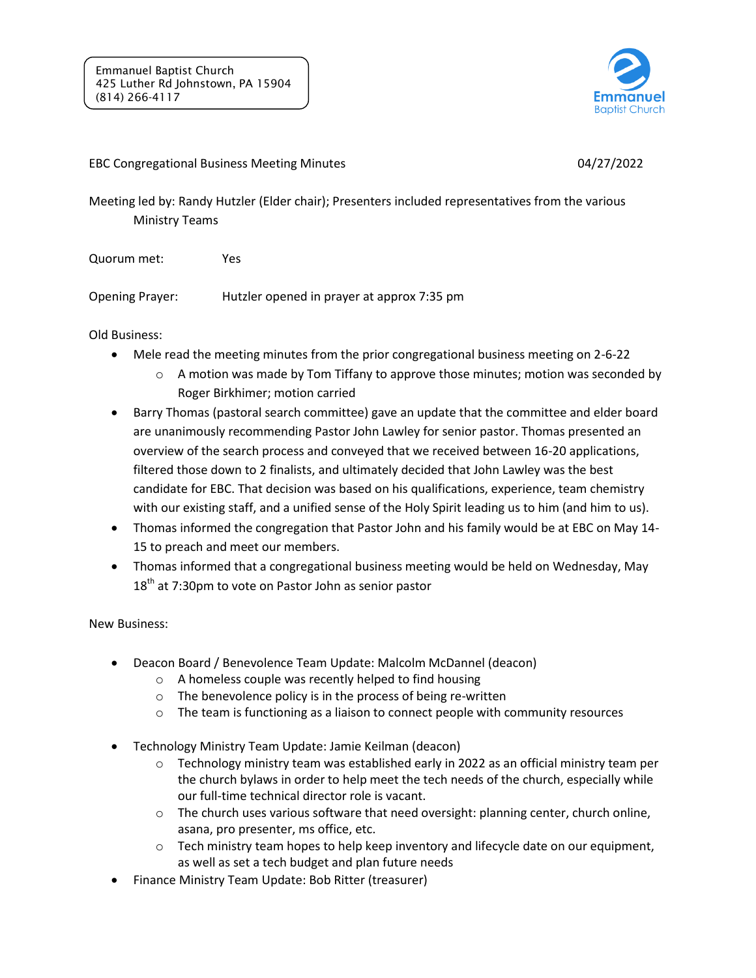

## EBC Congregational Business Meeting Minutes 04/27/2022

Meeting led by: Randy Hutzler (Elder chair); Presenters included representatives from the various Ministry Teams

Quorum met: Yes

Opening Prayer: Hutzler opened in prayer at approx 7:35 pm

Old Business:

- Mele read the meeting minutes from the prior congregational business meeting on 2-6-22
	- $\circ$  A motion was made by Tom Tiffany to approve those minutes; motion was seconded by Roger Birkhimer; motion carried
- Barry Thomas (pastoral search committee) gave an update that the committee and elder board are unanimously recommending Pastor John Lawley for senior pastor. Thomas presented an overview of the search process and conveyed that we received between 16-20 applications, filtered those down to 2 finalists, and ultimately decided that John Lawley was the best candidate for EBC. That decision was based on his qualifications, experience, team chemistry with our existing staff, and a unified sense of the Holy Spirit leading us to him (and him to us).
- Thomas informed the congregation that Pastor John and his family would be at EBC on May 14- 15 to preach and meet our members.
- Thomas informed that a congregational business meeting would be held on Wednesday, May  $18<sup>th</sup>$  at 7:30pm to vote on Pastor John as senior pastor

New Business:

- Deacon Board / Benevolence Team Update: Malcolm McDannel (deacon)
	- o A homeless couple was recently helped to find housing
	- o The benevolence policy is in the process of being re-written
	- $\circ$  The team is functioning as a liaison to connect people with community resources
- Technology Ministry Team Update: Jamie Keilman (deacon)
	- o Technology ministry team was established early in 2022 as an official ministry team per the church bylaws in order to help meet the tech needs of the church, especially while our full-time technical director role is vacant.
	- $\circ$  The church uses various software that need oversight: planning center, church online, asana, pro presenter, ms office, etc.
	- $\circ$  Tech ministry team hopes to help keep inventory and lifecycle date on our equipment, as well as set a tech budget and plan future needs
- Finance Ministry Team Update: Bob Ritter (treasurer)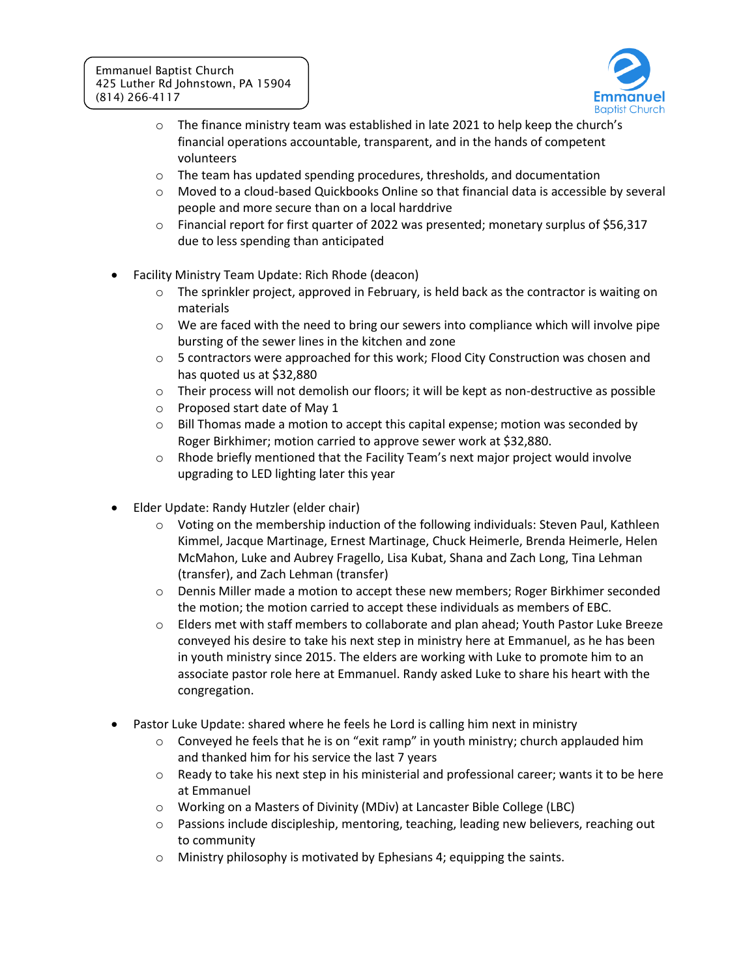

- $\circ$  The finance ministry team was established in late 2021 to help keep the church's financial operations accountable, transparent, and in the hands of competent volunteers
- $\circ$  The team has updated spending procedures, thresholds, and documentation
- o Moved to a cloud-based Quickbooks Online so that financial data is accessible by several people and more secure than on a local harddrive
- o Financial report for first quarter of 2022 was presented; monetary surplus of \$56,317 due to less spending than anticipated
- Facility Ministry Team Update: Rich Rhode (deacon)
	- $\circ$  The sprinkler project, approved in February, is held back as the contractor is waiting on materials
	- $\circ$  We are faced with the need to bring our sewers into compliance which will involve pipe bursting of the sewer lines in the kitchen and zone
	- $\circ$  5 contractors were approached for this work; Flood City Construction was chosen and has quoted us at \$32,880
	- $\circ$  Their process will not demolish our floors; it will be kept as non-destructive as possible
	- o Proposed start date of May 1
	- $\circ$  Bill Thomas made a motion to accept this capital expense; motion was seconded by Roger Birkhimer; motion carried to approve sewer work at \$32,880.
	- $\circ$  Rhode briefly mentioned that the Facility Team's next major project would involve upgrading to LED lighting later this year
- Elder Update: Randy Hutzler (elder chair)
	- $\circ$  Voting on the membership induction of the following individuals: Steven Paul, Kathleen Kimmel, Jacque Martinage, Ernest Martinage, Chuck Heimerle, Brenda Heimerle, Helen McMahon, Luke and Aubrey Fragello, Lisa Kubat, Shana and Zach Long, Tina Lehman (transfer), and Zach Lehman (transfer)
	- o Dennis Miller made a motion to accept these new members; Roger Birkhimer seconded the motion; the motion carried to accept these individuals as members of EBC.
	- o Elders met with staff members to collaborate and plan ahead; Youth Pastor Luke Breeze conveyed his desire to take his next step in ministry here at Emmanuel, as he has been in youth ministry since 2015. The elders are working with Luke to promote him to an associate pastor role here at Emmanuel. Randy asked Luke to share his heart with the congregation.
- Pastor Luke Update: shared where he feels he Lord is calling him next in ministry
	- $\circ$  Conveyed he feels that he is on "exit ramp" in youth ministry; church applauded him and thanked him for his service the last 7 years
	- $\circ$  Ready to take his next step in his ministerial and professional career; wants it to be here at Emmanuel
	- o Working on a Masters of Divinity (MDiv) at Lancaster Bible College (LBC)
	- $\circ$  Passions include discipleship, mentoring, teaching, leading new believers, reaching out to community
	- $\circ$  Ministry philosophy is motivated by Ephesians 4; equipping the saints.